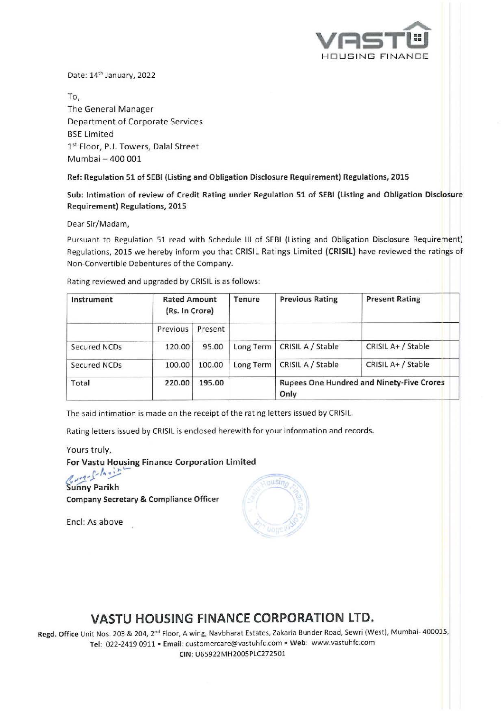

Date: 14<sup>th</sup> January, 2022

To, The General Manager Department of Corporate Services BSE limited 1st Floor, P.J. Towers, Dalal Street Mumbai - 400 001

Ref: Regulation 51 of SEBI (Listing and Obligation Disclosure Requirement) Regulations, 2015

Sub: Intimation of review of Credit Rating under Regulation 51 of SEBI (listing and Obligation Disclosure Requirement) Regulations, 2015

Dear Sir/Madam,

Pursuant to Regulation 51 read with Schedule Ill of SEBI (Listing and Obligation Disclosure Requirement) Regulations, 2015 we hereby inform you that CRISIL Ratings limited (CRISIL) have reviewed the ratings of Non-Convertible Debentures of the Company.

Rating reviewed and upgraded by CRISIL is as follows:

| Instrument   | <b>Rated Amount</b><br>(Rs. In Crore) |         | Tenure    | <b>Previous Rating</b>                                   | <b>Present Rating</b> |
|--------------|---------------------------------------|---------|-----------|----------------------------------------------------------|-----------------------|
|              | Previous                              | Present |           |                                                          |                       |
| Secured NCDs | 120.00                                | 95.00   | Long Term | CRISIL A / Stable                                        | CRISIL A+ / Stable    |
| Secured NCDs | 100.00                                | 100.00  | Long Term | CRISIL A / Stable                                        | CRISIL A+ / Stable    |
| Total        | 220.00                                | 195.00  |           | <b>Rupees One Hundred and Ninety-Five Crores</b><br>Only |                       |

The said intimation is made on the receipt of the rating letters issued by CRISIL.

Rating letters issued by CRISIL is enclosed herewith for your information and records.

Yours truly, For Vastu Housing Finance Corporation Limited

Sunny Parikh Company Secretary & Compliance Officer

Encl: As above



# **VASTU HOUSING FINANCE CORPORATION LTD.**

Regd. Office Unit Nos. 203 & 204, 2nd Floor, A wing, Navbharat Estates, Zakaria Sunder Road, Sewri (West), Mumbai- 400015, Tel: 022-2419 0911 • Email: customercare@vastuhfc.com • Web: www.vastuhfc.com CIN: U65922MH200SPLC272501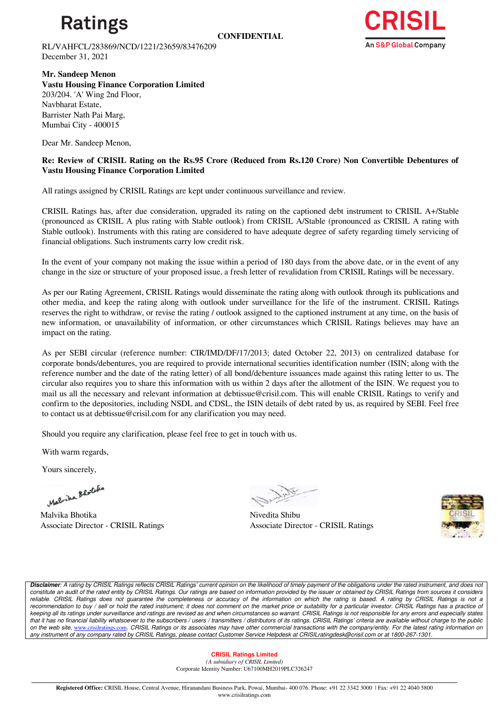

**CONFIDENTIAL**

RL/VAHFCL/283869/NCD/1221/23659/83476209 December 31, 2021



**Mr. Sandeep Menon** 

**Vastu Housing Finance Corporation Limited** 203/204. 'A' Wing 2nd Floor, Navbharat Estate, Barrister Nath Pai Marg, Mumbai City - 400015

Dear Mr. Sandeep Menon,

## **Re: Review of CRISIL Rating on the Rs.95 Crore (Reduced from Rs.120 Crore) Non Convertible Debentures of Vastu Housing Finance Corporation Limited**

All ratings assigned by CRISIL Ratings are kept under continuous surveillance and review.

CRISIL Ratings has, after due consideration, upgraded its rating on the captioned debt instrument to CRISIL A+/Stable (pronounced as CRISIL A plus rating with Stable outlook) from CRISIL A/Stable (pronounced as CRISIL A rating with Stable outlook). Instruments with this rating are considered to have adequate degree of safety regarding timely servicing of financial obligations. Such instruments carry low credit risk.

In the event of your company not making the issue within a period of 180 days from the above date, or in the event of any change in the size or structure of your proposed issue, a fresh letter of revalidation from CRISIL Ratings will be necessary.

As per our Rating Agreement, CRISIL Ratings would disseminate the rating along with outlook through its publications and other media, and keep the rating along with outlook under surveillance for the life of the instrument. CRISIL Ratings reserves the right to withdraw, or revise the rating / outlook assigned to the captioned instrument at any time, on the basis of new information, or unavailability of information, or other circumstances which CRISIL Ratings believes may have an impact on the rating.

As per SEBI circular (reference number: CIR/IMD/DF/17/2013; dated October 22, 2013) on centralized database for corporate bonds/debentures, you are required to provide international securities identification number (ISIN; along with the reference number and the date of the rating letter) of all bond/debenture issuances made against this rating letter to us. The circular also requires you to share this information with us within 2 days after the allotment of the ISIN. We request you to mail us all the necessary and relevant information at debtissue@crisil.com. This will enable CRISIL Ratings to verify and confirm to the depositories, including NSDL and CDSL, the ISIN details of debt rated by us, as required by SEBI. Feel free to contact us at debtissue@crisil.com for any clarification you may need.

Should you require any clarification, please feel free to get in touch with us.

With warm regards,

Yours sincerely,

Malvika Blotche

Malvika Bhotika Nivedita Shibu

Associate Director - CRISIL Ratings Associate Director - CRISIL Ratings



*Disclaimer: A rating by CRISIL Ratings reflects CRISIL Ratings' current opinion on the likelihood of timely payment of the obligations under the rated instrument, and does not constitute an audit of the rated entity by CRISIL Ratings. Our ratings are based on information provided by the issuer or obtained by CRISIL Ratings from sources it considers*  reliable. CRISIL Ratings does not guarantee the completeness or accuracy of the information on which the rating is based. A rating by CRISIL Ratings is not a recommendation to buy / sell or hold the rated instrument; it does not comment on the market price or suitability for a particular investor. CRISIL Ratings has a practice of *keeping all its ratings under surveillance and ratings are revised as and when circumstances so warrant. CRISIL Ratings is not responsible for any errors and especially states that it has no financial liability whatsoever to the subscribers / users / transmitters / distributors of its ratings. CRISIL Ratings' criteria are available without charge to the public on the web site,* [www.crisilratings.com](https://ind01.safelinks.protection.outlook.com/?url=http%3A%2F%2Fwww.crisilratings.com%2F&data=04%7C01%7CSuryanarayana.Gude%40ext-crisil.com%7Cc842be47f1484f5bc10e08d9c6d8a581%7C4d8b04bf7a7c48a0b6e338da5008297e%7C0%7C0%7C637759456050302254%7CUnknown%7CTWFpbGZsb3d8eyJWIjoiMC4wLjAwMDAiLCJQIjoiV2luMzIiLCJBTiI6Ik1haWwiLCJXVCI6Mn0%3D%7C3000&sdata=W4gV%2Bkv7H2pvVaLCh5dLbsW%2FZ%2FgWdylb05bJkP7Qz8A%3D&reserved=0)*. CRISIL Ratings or its associates may have other commercial transactions with the company/entity. For the latest rating information on any instrument of any company rated by CRISIL Ratings, please contact Customer Service Helpdesk at CRISILratingdesk@crisil.com or at 1800-267-1301.*

#### **CRISIL Ratings Limited**

*(A subsidiary of CRISIL Limited)*  Corporate Identity Number: U67100MH2019PLC326247